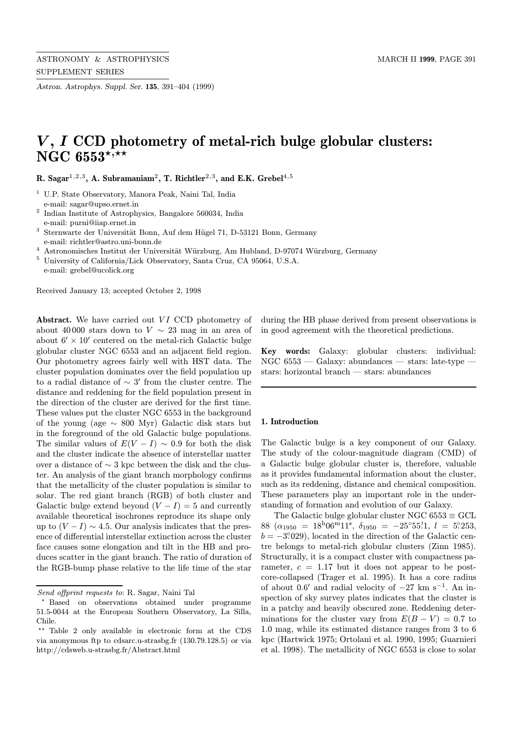Astron. Astrophys. Suppl. Ser. 135, 391–404 (1999)

# $V, I$  CCD photometry of metal-rich bulge globular clusters: NGC 6553\*,\*\*

R. Sagar<sup>1,2,3</sup>, A. Subramaniam<sup>2</sup>, T. Richtler<sup>2,3</sup>, and E.K. Grebel<sup>4,5</sup>

- <sup>1</sup> U.P. State Observatory, Manora Peak, Naini Tal, India e-mail: sagar@upso.ernet.in
- <sup>2</sup> Indian Institute of Astrophysics, Bangalore 560034, India e-mail: purni@iiap.ernet.in
- <sup>3</sup> Sternwarte der Universität Bonn, Auf dem Hügel 71, D-53121 Bonn, Germany e-mail: richtler@astro.uni-bonn.de
- <sup>4</sup> Astronomisches Institut der Universität Würzburg, Am Hubland, D-97074 Würzburg, Germany
- <sup>5</sup> University of California/Lick Observatory, Santa Cruz, CA 95064, U.S.A. e-mail: grebel@ucolick.org

Received January 13; accepted October 2, 1998

Abstract. We have carried out VI CCD photometry of about 40000 stars down to  $V \sim 23$  mag in an area of about  $6' \times 10'$  centered on the metal-rich Galactic bulge globular cluster NGC 6553 and an adjacent field region. Our photometry agrees fairly well with HST data. The cluster population dominates over the field population up to a radial distance of  $\sim$  3' from the cluster centre. The distance and reddening for the field population present in the direction of the cluster are derived for the first time. These values put the cluster NGC 6553 in the background of the young (age  $\sim 800$  Myr) Galactic disk stars but in the foreground of the old Galactic bulge populations. The similar values of  $E(V - I) \sim 0.9$  for both the disk and the cluster indicate the absence of interstellar matter over a distance of ∼ 3 kpc between the disk and the cluster. An analysis of the giant branch morphology confirms that the metallicity of the cluster population is similar to solar. The red giant branch (RGB) of both cluster and Galactic bulge extend beyond  $(V - I) = 5$  and currently available theoretical isochrones reproduce its shape only up to  $(V - I) \sim 4.5$ . Our analysis indicates that the presence of differential interstellar extinction across the cluster face causes some elongation and tilt in the HB and produces scatter in the giant branch. The ratio of duration of the RGB-bump phase relative to the life time of the star

during the HB phase derived from present observations is in good agreement with the theoretical predictions.

Key words: Galaxy: globular clusters: individual: NGC 6553 — Galaxy: abundances — stars: late-type stars: horizontal branch — stars: abundances

# 1. Introduction

The Galactic bulge is a key component of our Galaxy. The study of the colour-magnitude diagram (CMD) of a Galactic bulge globular cluster is, therefore, valuable as it provides fundamental information about the cluster, such as its reddening, distance and chemical composition. These parameters play an important role in the understanding of formation and evolution of our Galaxy.

The Galactic bulge globular cluster NGC  $6553 \equiv \text{GCL}$ 88 ( $\alpha_{1950} = 18^{\text{h}}06^{\text{m}}11^{\text{s}}, \ \delta_{1950} = -25^{\circ}55\overset{\prime}{.}1, \ l = 5^{\circ}253,$  $b = -3.029$ , located in the direction of the Galactic centre belongs to metal-rich globular clusters (Zinn 1985). Structurally, it is a compact cluster with compactness parameter,  $c = 1.17$  but it does not appear to be postcore-collapsed (Trager et al. 1995). It has a core radius of about 0.6' and radial velocity of  $-27 \text{ km s}^{-1}$ . An inspection of sky survey plates indicates that the cluster is in a patchy and heavily obscured zone. Reddening determinations for the cluster vary from  $E(B - V) = 0.7$  to 1.0 mag, while its estimated distance ranges from 3 to 6 kpc (Hartwick 1975; Ortolani et al. 1990, 1995; Guarnieri et al. 1998). The metallicity of NGC 6553 is close to solar

Send offprint requests to: R. Sagar, Naini Tal

<sup>?</sup> Based on observations obtained under programme 51.5-0044 at the European Southern Observatory, La Silla, Chile.

<sup>\*\*</sup> Table 2 only available in electronic form at the CDS via anonymous ftp to cdsarc.u-strasbg.fr (130.79.128.5) or via http://cdsweb.u-strasbg.fr/Abstract.html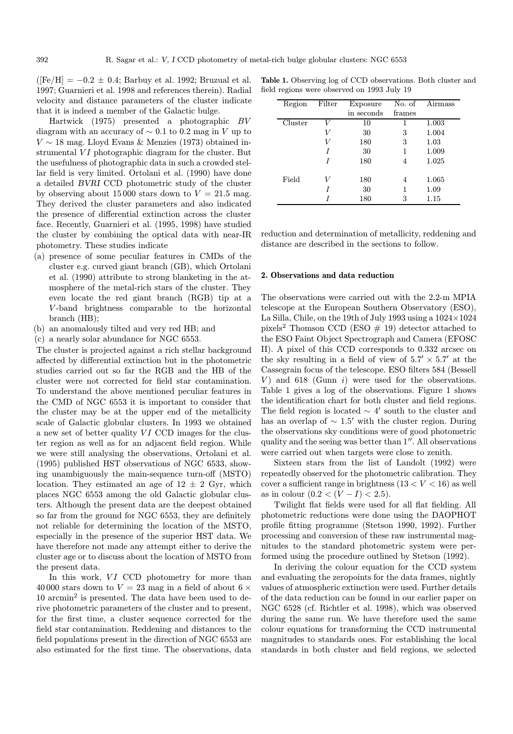$(Fe/H] = -0.2 \pm 0.4$ ; Barbuy et al. 1992; Bruzual et al. 1997; Guarnieri et al. 1998 and references therein). Radial velocity and distance parameters of the cluster indicate that it is indeed a member of the Galactic bulge.

Hartwick (1975) presented a photographic BV diagram with an accuracy of  $\sim 0.1$  to 0.2 mag in V up to  $V \sim 18$  mag. Lloyd Evans & Menzies (1973) obtained instrumental  $VI$  photographic diagram for the cluster. But the usefulness of photographic data in such a crowded stellar field is very limited. Ortolani et al. (1990) have done a detailed BVRI CCD photometric study of the cluster by observing about 15000 stars down to  $V = 21.5$  mag. They derived the cluster parameters and also indicated the presence of differential extinction across the cluster face. Recently, Guarnieri et al. (1995, 1998) have studied the cluster by combining the optical data with near-IR photometry. These studies indicate

- (a) presence of some peculiar features in CMDs of the cluster e.g. curved giant branch (GB), which Ortolani et al. (1990) attribute to strong blanketing in the atmosphere of the metal-rich stars of the cluster. They even locate the red giant branch (RGB) tip at a V -band brightness comparable to the horizontal branch (HB);
- (b) an anomalously tilted and very red HB; and
- (c) a nearly solar abundance for NGC 6553.

The cluster is projected against a rich stellar background affected by differential extinction but in the photometric studies carried out so far the RGB and the HB of the cluster were not corrected for field star contamination. To understand the above mentioned peculiar features in the CMD of NGC 6553 it is important to consider that the cluster may be at the upper end of the metallicity scale of Galactic globular clusters. In 1993 we obtained a new set of better quality  $VI$  CCD images for the cluster region as well as for an adjacent field region. While we were still analysing the observations, Ortolani et al. (1995) published HST observations of NGC 6533, showing unambiguously the main-sequence turn-off (MSTO) location. They estimated an age of  $12 \pm 2$  Gyr, which places NGC 6553 among the old Galactic globular clusters. Although the present data are the deepest obtained so far from the ground for NGC 6553, they are definitely not reliable for determining the location of the MSTO, especially in the presence of the superior HST data. We have therefore not made any attempt either to derive the cluster age or to discuss about the location of MSTO from the present data.

In this work, VI CCD photometry for more than 40 000 stars down to  $V = 23$  mag in a field of about 6  $\times$ 10 arcmin<sup>2</sup> is presented. The data have been used to derive photometric parameters of the cluster and to present, for the first time, a cluster sequence corrected for the field star contamination. Reddening and distances to the field populations present in the direction of NGC 6553 are also estimated for the first time. The observations, data

Table 1. Observing log of CCD observations. Both cluster and field regions were observed on 1993 July 19

| Region  | Filter | Exposure   |        | No. of Airmass |
|---------|--------|------------|--------|----------------|
|         |        | in seconds | frames |                |
| Cluster | T Z    | 10         | 1      | 1.003          |
|         |        | 30         | 3      | 1.004          |
|         |        | 180        | 3      | 1.03           |
|         |        | 30         | 1      | 1.009          |
|         |        | 180        | 4      | 1.025          |
|         |        |            |        |                |
| Field   |        | 180        | 4      | 1.065          |
|         |        | 30         | 1      | 1.09           |
|         |        | 180        | 3      | 1.15           |

reduction and determination of metallicity, reddening and distance are described in the sections to follow.

#### 2. Observations and data reduction

The observations were carried out with the 2.2-m MPIA telescope at the European Southern Observatory (ESO), La Silla, Chile, on the 19th of July 1993 using a 1024×1024 pixels<sup>2</sup> Thomson CCD (ESO  $# 19$ ) detector attached to the ESO Faint Object Spectrograph and Camera (EFOSC II). A pixel of this CCD corresponds to 0.332 arcsec on the sky resulting in a field of view of  $5.7' \times 5.7'$  at the Cassegrain focus of the telescope. ESO filters 584 (Bessell V) and 618 (Gunn  $i$ ) were used for the observations. Table 1 gives a log of the observations. Figure 1 shows the identification chart for both cluster and field regions. The field region is located  $\sim 4'$  south to the cluster and has an overlap of  $\sim 1.5'$  with the cluster region. During the observations sky conditions were of good photometric quality and the seeing was better than  $1''$ . All observations were carried out when targets were close to zenith.

Sixteen stars from the list of Landolt (1992) were repeatedly observed for the photometric calibration. They cover a sufficient range in brightness  $(13 < V < 16)$  as well as in colour  $(0.2 < (V - I) < 2.5)$ .

Twilight flat fields were used for all flat fielding. All photometric reductions were done using the DAOPHOT profile fitting programme (Stetson 1990, 1992). Further processing and conversion of these raw instrumental magnitudes to the standard photometric system were performed using the procedure outlined by Stetson (1992).

In deriving the colour equation for the CCD system and evaluating the zeropoints for the data frames, nightly values of atmospheric extinction were used. Further details of the data reduction can be found in our earlier paper on NGC 6528 (cf. Richtler et al. 1998), which was observed during the same run. We have therefore used the same colour equations for transforming the CCD instrumental magnitudes to standards ones. For establishing the local standards in both cluster and field regions, we selected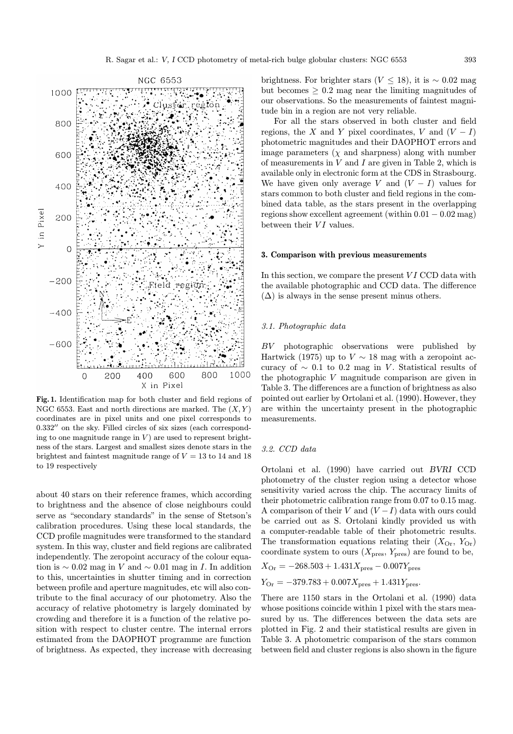

Fig. 1. Identification map for both cluster and field regions of NGC 6553. East and north directions are marked. The  $(X, Y)$ coordinates are in pixel units and one pixel corresponds to  $0.332''$  on the sky. Filled circles of six sizes (each corresponding to one magnitude range in  $V$ ) are used to represent brightness of the stars. Largest and smallest sizes denote stars in the brightest and faintest magnitude range of  $V = 13$  to 14 and 18 to 19 respectively

about 40 stars on their reference frames, which according to brightness and the absence of close neighbours could serve as "secondary standards" in the sense of Stetson's calibration procedures. Using these local standards, the CCD profile magnitudes were transformed to the standard system. In this way, cluster and field regions are calibrated independently. The zeropoint accuracy of the colour equation is  $\sim 0.02$  mag in V and  $\sim 0.01$  mag in I. In addition to this, uncertainties in shutter timing and in correction between profile and aperture magnitudes, etc will also contribute to the final accuracy of our photometry. Also the accuracy of relative photometry is largely dominated by crowding and therefore it is a function of the relative position with respect to cluster centre. The internal errors estimated from the DAOPHOT programme are function of brightness. As expected, they increase with decreasing brightness. For brighter stars ( $V \le 18$ ), it is ~ 0.02 mag but becomes  $\geq$  0.2 mag near the limiting magnitudes of our observations. So the measurements of faintest magnitude bin in a region are not very reliable.

For all the stars observed in both cluster and field regions, the X and Y pixel coordinates, V and  $(V - I)$ photometric magnitudes and their DAOPHOT errors and image parameters  $(\chi$  and sharpness) along with number of measurements in  $V$  and  $I$  are given in Table 2, which is available only in electronic form at the CDS in Strasbourg. We have given only average V and  $(V - I)$  values for stars common to both cluster and field regions in the combined data table, as the stars present in the overlapping regions show excellent agreement (within 0.01 − 0.02 mag) between their  $VI$  values.

#### 3. Comparison with previous measurements

In this section, we compare the present  $VI$  CCD data with the available photographic and CCD data. The difference  $(\Delta)$  is always in the sense present minus others.

# 3.1. Photographic data

BV photographic observations were published by Hartwick (1975) up to  $V \sim 18$  mag with a zeropoint accuracy of  $\sim$  0.1 to 0.2 mag in V. Statistical results of the photographic V magnitude comparison are given in Table 3. The differences are a function of brightness as also pointed out earlier by Ortolani et al. (1990). However, they are within the uncertainty present in the photographic measurements.

### 3.2. CCD data

Ortolani et al. (1990) have carried out BVRI CCD photometry of the cluster region using a detector whose sensitivity varied across the chip. The accuracy limits of their photometric calibration range from 0.07 to 0.15 mag. A comparison of their V and  $(V-I)$  data with ours could be carried out as S. Ortolani kindly provided us with a computer-readable table of their photometric results. The transformation equations relating their  $(X_{\text{Or}}, Y_{\text{Or}})$ coordinate system to ours  $(X_{\text{pres}}, Y_{\text{pres}})$  are found to be,

$$
X_{\rm Or} = -268.503 + 1.431 X_{\rm pres} - 0.007 Y_{\rm pres}
$$

$$
Y_{\rm Or} = -379.783 + 0.007 X_{\rm pres} + 1.431 Y_{\rm pres}.
$$

There are 1150 stars in the Ortolani et al. (1990) data whose positions coincide within 1 pixel with the stars measured by us. The differences between the data sets are plotted in Fig. 2 and their statistical results are given in Table 3. A photometric comparison of the stars common between field and cluster regions is also shown in the figure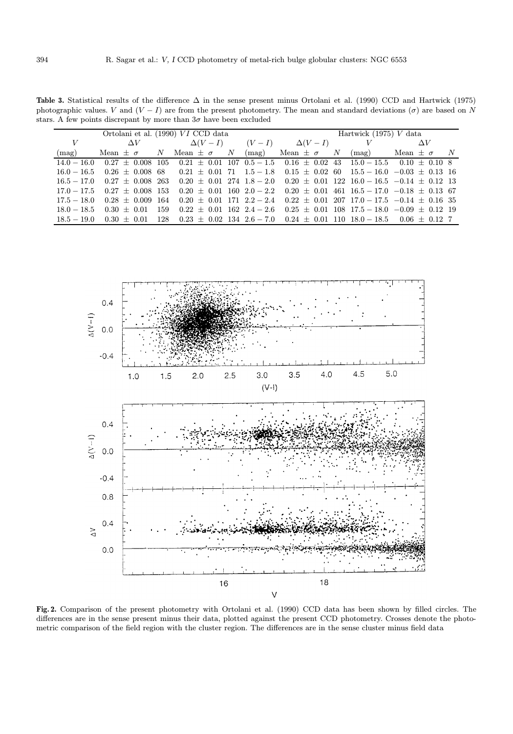Table 3. Statistical results of the difference ∆ in the sense present minus Ortolani et al. (1990) CCD and Hartwick (1975) photographic values. V and  $(V - I)$  are from the present photometry. The mean and standard deviations  $(\sigma)$  are based on N stars. A few points discrepant by more than  $3\sigma$  have been excluded

| Ortolani et al. (1990) VI CCD data |                                    |  |                                                                                                                                | Hartwick $(1975)$ V data |  |  |  |  |  |
|------------------------------------|------------------------------------|--|--------------------------------------------------------------------------------------------------------------------------------|--------------------------|--|--|--|--|--|
| V                                  |                                    |  | $\Delta V$ $\Delta(V-I)$ $(V-I)$ $\Delta(V-I)$ $V$ $\Delta V$                                                                  |                          |  |  |  |  |  |
| (mag)                              |                                    |  | Mean $\pm \sigma$ N Mean $\pm \sigma$ N (mag) Mean $\pm \sigma$ N (mag) Mean $\pm \sigma$ N                                    |                          |  |  |  |  |  |
| $14.0 - 16.0$                      |                                    |  | $0.27 \pm 0.008$ 105 $0.21 \pm 0.01$ 107 $0.5 - 1.5$ $0.16 \pm 0.02$ 43 $15.0 - 15.5$ $0.10 \pm 0.10$ 8                        |                          |  |  |  |  |  |
| $16.0-16.5$                        |                                    |  | $0.26 \pm 0.008$ 68 $0.21 \pm 0.01$ 71 $1.5 - 1.8$ $0.15 \pm 0.02$ 60 $15.5 - 16.0$ $-0.03 \pm 0.13$ 16                        |                          |  |  |  |  |  |
|                                    |                                    |  | $16.5 - 17.0$ $0.27 \pm 0.008$ $263$ $0.20 \pm 0.01$ $274$ $1.8 - 2.0$ $0.20 \pm 0.01$ $122$ $16.0 - 16.5$ $-0.14 \pm 0.12$ 13 |                          |  |  |  |  |  |
|                                    | $17.0 - 17.5$ $0.27 \pm 0.008$ 153 |  | $0.20 \pm 0.01$ 160 $2.0 - 2.2$ $0.20 \pm 0.01$ 461 $16.5 - 17.0$ $-0.18 \pm 0.13$ 67                                          |                          |  |  |  |  |  |
| $17.5-18.0$                        |                                    |  | $0.28 \pm 0.009$ 164 $0.20 \pm 0.01$ 171 $2.2 - 2.4$ $0.22 \pm 0.01$ 207 17.0 $-17.5$ $-0.14 \pm 0.16$ 35                      |                          |  |  |  |  |  |
| $18.0 - 18.5$                      |                                    |  | $0.30 \pm 0.01$ 159 $0.22 \pm 0.01$ 162 $2.4 - 2.6$ $0.25 \pm 0.01$ 108 $17.5 - 18.0$ $-0.09 \pm 0.12$ 19                      |                          |  |  |  |  |  |
|                                    |                                    |  | $18.5 - 19.0$ $0.30 \pm 0.01$ $128$ $0.23 \pm 0.02$ $134$ $2.6 - 7.0$ $0.24 \pm 0.01$ $110$ $18.0 - 18.5$ $0.06 \pm 0.12$ 7    |                          |  |  |  |  |  |
|                                    |                                    |  |                                                                                                                                |                          |  |  |  |  |  |



Fig. 2. Comparison of the present photometry with Ortolani et al. (1990) CCD data has been shown by filled circles. The differences are in the sense present minus their data, plotted against the present CCD photometry. Crosses denote the photometric comparison of the field region with the cluster region. The differences are in the sense cluster minus field data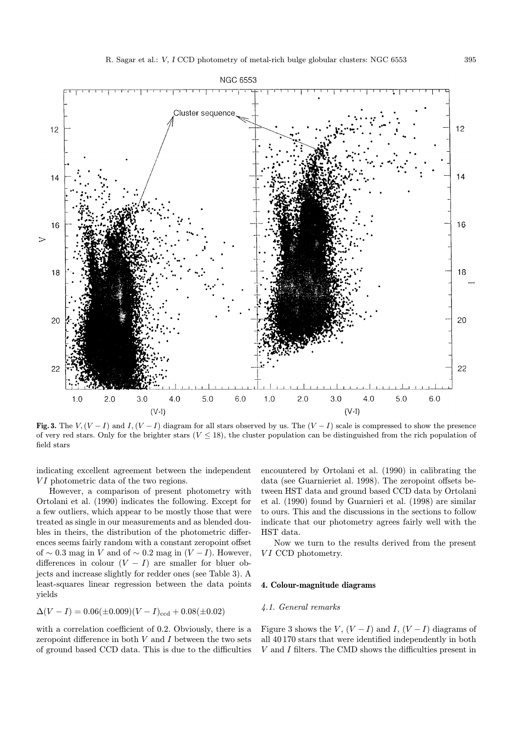

Fig. 3. The  $V, (V - I)$  and  $I, (V - I)$  diagram for all stars observed by us. The  $(V - I)$  scale is compressed to show the presence of very red stars. Only for the brighter stars ( $V \leq 18$ ), the cluster population can be distinguished from the rich population of field stars

indicating excellent agreement between the independent VI photometric data of the two regions.

However, a comparison of present photometry with Ortolani et al. (1990) indicates the following. Except for a few outliers, which appear to be mostly those that were treated as single in our measurements and as blended doubles in theirs, the distribution of the photometric differences seems fairly random with a constant zeropoint offset of ∼ 0.3 mag in V and of ∼ 0.2 mag in  $(V-I)$ . However, differences in colour  $(V - I)$  are smaller for bluer objects and increase slightly for redder ones (see Table 3). A least-squares linear regression between the data points yields

$$
\Delta(V-I) = 0.06(\pm 0.009)(V-I)_{\text{ccd}} + 0.08(\pm 0.02)
$$

with a correlation coefficient of 0.2. Obviously, there is a zeropoint difference in both  $V$  and  $I$  between the two sets of ground based CCD data. This is due to the difficulties

encountered by Ortolani et al. (1990) in calibrating the data (see Guarnieriet al. 1998). The zeropoint offsets between HST data and ground based CCD data by Ortolani et al. (1990) found by Guarnieri et al. (1998) are similar to ours. This and the discussions in the sections to follow indicate that our photometry agrees fairly well with the HST data.

Now we turn to the results derived from the present VI CCD photometry.

# 4. Colour-magnitude diagrams

# 4.1. General remarks

Figure 3 shows the  $V$ ,  $(V - I)$  and  $I$ ,  $(V - I)$  diagrams of all 40 170 stars that were identified independently in both  $V$  and  $I$  filters. The CMD shows the difficulties present in  $\;$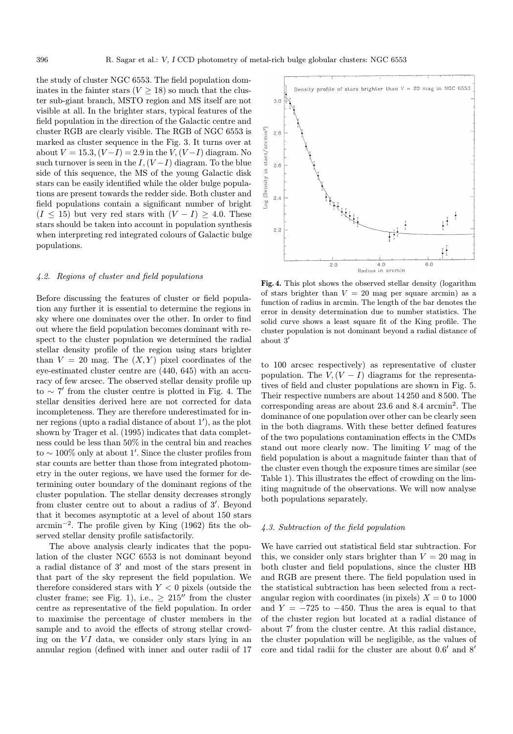the study of cluster NGC 6553. The field population dominates in the fainter stars  $(V > 18)$  so much that the cluster sub-giant branch, MSTO region and MS itself are not visible at all. In the brighter stars, typical features of the field population in the direction of the Galactic centre and cluster RGB are clearly visible. The RGB of NGC 6553 is marked as cluster sequence in the Fig. 3. It turns over at about  $V = 15.3$ ,  $(V-I) = 2.9$  in the  $V$ ,  $(V-I)$  diagram. No such turnover is seen in the  $I,(V-I)$  diagram. To the blue side of this sequence, the MS of the young Galactic disk stars can be easily identified while the older bulge populations are present towards the redder side. Both cluster and field populations contain a significant number of bright  $(I \leq 15)$  but very red stars with  $(V - I) \geq 4.0$ . These stars should be taken into account in population synthesis when interpreting red integrated colours of Galactic bulge populations.

# 4.2. Regions of cluster and field populations

Before discussing the features of cluster or field population any further it is essential to determine the regions in sky where one dominates over the other. In order to find out where the field population becomes dominant with respect to the cluster population we determined the radial stellar density profile of the region using stars brighter than  $V = 20$  mag. The  $(X, Y)$  pixel coordinates of the eye-estimated cluster centre are (440, 645) with an accuracy of few arcsec. The observed stellar density profile up to  $\sim$  7' from the cluster centre is plotted in Fig. 4. The stellar densities derived here are not corrected for data incompleteness. They are therefore underestimated for inner regions (upto a radial distance of about 1'), as the plot shown by Trager et al. (1995) indicates that data completness could be less than 50% in the central bin and reaches to  $\sim 100\%$  only at about 1'. Since the cluster profiles from star counts are better than those from integrated photometry in the outer regions, we have used the former for determining outer boundary of the dominant regions of the cluster population. The stellar density decreases strongly from cluster centre out to about a radius of 3'. Beyond that it becomes asymptotic at a level of about 150 stars arcmin<sup>−</sup><sup>2</sup>. The profile given by King (1962) fits the observed stellar density profile satisfactorily.

The above analysis clearly indicates that the population of the cluster NGC 6553 is not dominant beyond a radial distance of  $3'$  and most of the stars present in that part of the sky represent the field population. We therefore considered stars with  $Y < 0$  pixels (outside the cluster frame; see Fig. 1), i.e.,  $\geq 215''$  from the cluster centre as representative of the field population. In order to maximise the percentage of cluster members in the sample and to avoid the effects of strong stellar crowding on the  $VI$  data, we consider only stars lying in an annular region (defined with inner and outer radii of 17



Fig. 4. This plot shows the observed stellar density (logarithm of stars brighter than  $V = 20$  mag per square arcmin) as a function of radius in arcmin. The length of the bar denotes the error in density determination due to number statistics. The solid curve shows a least square fit of the King profile. The cluster population is not dominant beyond a radial distance of about  $3'$ 

to 100 arcsec respectively) as representative of cluster population. The  $V, (V - I)$  diagrams for the representatives of field and cluster populations are shown in Fig. 5. Their respective numbers are about 14 250 and 8 500. The corresponding areas are about 23.6 and 8.4 arcmin<sup>2</sup>. The dominance of one population over other can be clearly seen in the both diagrams. With these better defined features of the two populations contamination effects in the CMDs stand out more clearly now. The limiting V mag of the field population is about a magnitude fainter than that of the cluster even though the exposure times are similar (see Table 1). This illustrates the effect of crowding on the limiting magnitude of the observations. We will now analyse both populations separately.

# 4.3. Subtraction of the field population

We have carried out statistical field star subtraction. For this, we consider only stars brighter than  $V = 20$  mag in both cluster and field populations, since the cluster HB and RGB are present there. The field population used in the statistical subtraction has been selected from a rectangular region with coordinates (in pixels)  $X = 0$  to 1000 and  $Y = -725$  to  $-450$ . Thus the area is equal to that of the cluster region but located at a radial distance of about 7' from the cluster centre. At this radial distance, the cluster population will be negligible, as the values of core and tidal radii for the cluster are about  $0.6'$  and  $8'$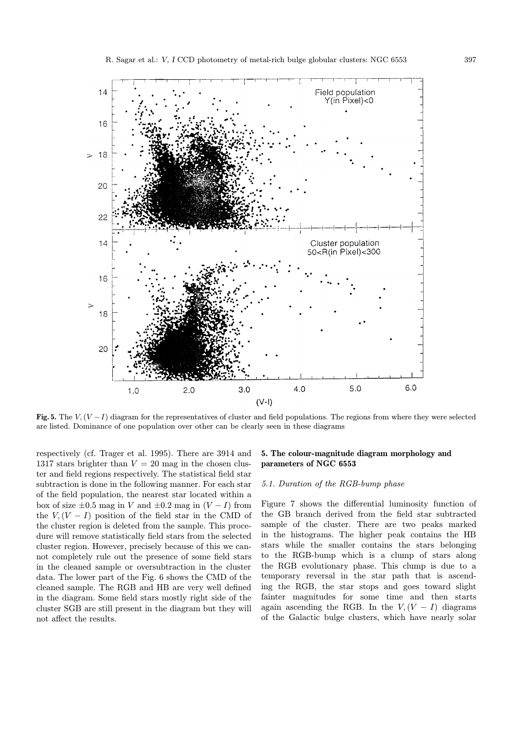

Fig. 5. The  $V, (V - I)$  diagram for the representatives of cluster and field populations. The regions from where they were selected are listed. Dominance of one population over other can be clearly seen in these diagrams

respectively (cf. Trager et al. 1995). There are 3914 and 1317 stars brighter than  $V = 20$  mag in the chosen cluster and field regions respectively. The statistical field star subtraction is done in the following manner. For each star of the field population, the nearest star located within a box of size  $\pm 0.5$  mag in V and  $\pm 0.2$  mag in  $(V-I)$  from the  $V,(V-I)$  position of the field star in the CMD of the cluster region is deleted from the sample. This procedure will remove statistically field stars from the selected cluster region. However, precisely because of this we cannot completely rule out the presence of some field stars in the cleaned sample or oversubtraction in the cluster data. The lower part of the Fig. 6 shows the CMD of the cleaned sample. The RGB and HB are very well defined in the diagram. Some field stars mostly right side of the cluster SGB are still present in the diagram but they will not affect the results.

# 5. The colour-magnitude diagram morphology and parameters of NGC 6553

#### 5.1. Duration of the RGB-bump phase

Figure 7 shows the differential luminosity function of the GB branch derived from the field star subtracted sample of the cluster. There are two peaks marked in the histograms. The higher peak contains the HB stars while the smaller contains the stars belonging to the RGB-bump which is a clump of stars along the RGB evolutionary phase. This clump is due to a temporary reversal in the star path that is ascending the RGB, the star stops and goes toward slight fainter magnitudes for some time and then starts again ascending the RGB. In the  $V, (V - I)$  diagrams of the Galactic bulge clusters, which have nearly solar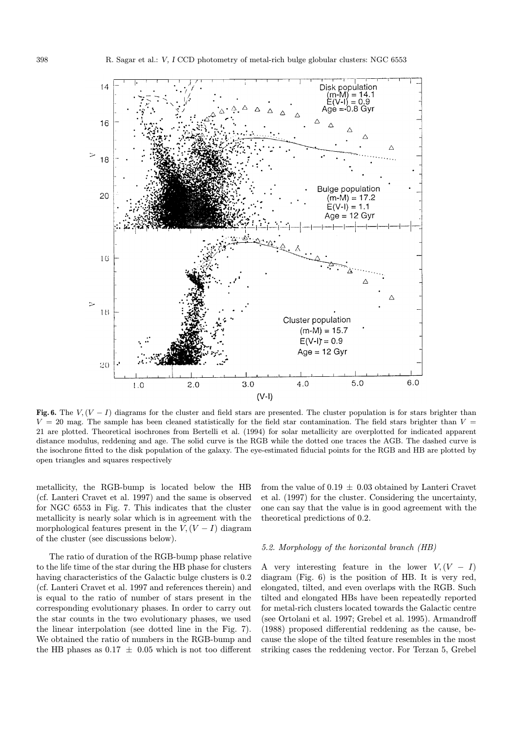

Fig. 6. The  $V, (V - I)$  diagrams for the cluster and field stars are presented. The cluster population is for stars brighter than  $V = 20$  mag. The sample has been cleaned statistically for the field star contamination. The field stars brighter than  $V =$ 21 are plotted. Theoretical isochrones from Bertelli et al. (1994) for solar metallicity are overplotted for indicated apparent distance modulus, reddening and age. The solid curve is the RGB while the dotted one traces the AGB. The dashed curve is the isochrone fitted to the disk population of the galaxy. The eye-estimated fiducial points for the RGB and HB are plotted by open triangles and squares respectively

metallicity, the RGB-bump is located below the HB (cf. Lanteri Cravet et al. 1997) and the same is observed for NGC 6553 in Fig. 7. This indicates that the cluster metallicity is nearly solar which is in agreement with the morphological features present in the  $V,(V-I)$  diagram of the cluster (see discussions below).

The ratio of duration of the RGB-bump phase relative to the life time of the star during the HB phase for clusters having characteristics of the Galactic bulge clusters is 0.2 (cf. Lanteri Cravet et al. 1997 and references therein) and is equal to the ratio of number of stars present in the corresponding evolutionary phases. In order to carry out the star counts in the two evolutionary phases, we used the linear interpolation (see dotted line in the Fig. 7). We obtained the ratio of numbers in the RGB-bump and the HB phases as  $0.17 \pm 0.05$  which is not too different from the value of  $0.19 \pm 0.03$  obtained by Lanteri Cravet et al. (1997) for the cluster. Considering the uncertainty, one can say that the value is in good agreement with the theoretical predictions of 0.2.

#### 5.2. Morphology of the horizontal branch (HB)

A very interesting feature in the lower  $V,(V - I)$ diagram (Fig. 6) is the position of HB. It is very red, elongated, tilted, and even overlaps with the RGB. Such tilted and elongated HBs have been repeatedly reported for metal-rich clusters located towards the Galactic centre (see Ortolani et al. 1997; Grebel et al. 1995). Armandroff (1988) proposed differential reddening as the cause, because the slope of the tilted feature resembles in the most striking cases the reddening vector. For Terzan 5, Grebel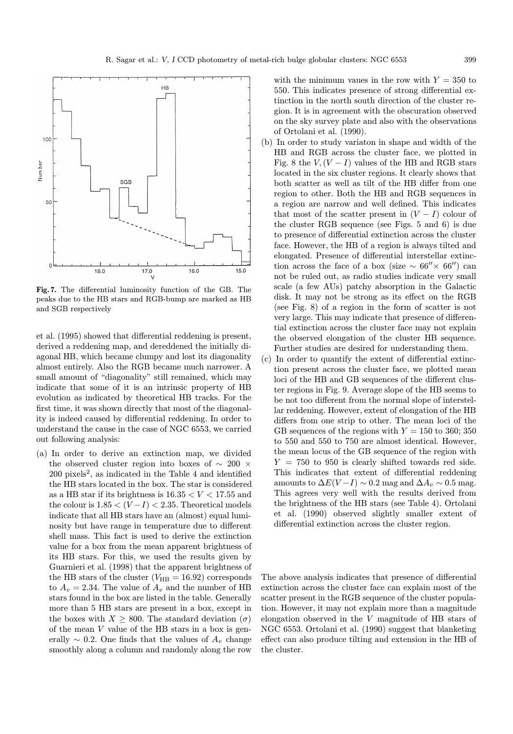

Fig. 7. The differential luminosity function of the GB. The peaks due to the HB stars and RGB-bump are marked as HB and SGB respectively

et al. (1995) showed that differential reddening is present, derived a reddening map, and dereddened the initially diagonal HB, which became clumpy and lost its diagonality almost entirely. Also the RGB became much narrower. A small amount of "diagonality" still remained, which may indicate that some of it is an intrinsic property of HB evolution as indicated by theoretical HB tracks. For the first time, it was shown directly that most of the diagonality is indeed caused by differential reddening. In order to understand the cause in the case of NGC 6553, we carried out following analysis:

(a) In order to derive an extinction map, we divided the observed cluster region into boxes of ∼ 200 ×  $200$  pixels<sup>2</sup>, as indicated in the Table 4 and identified the HB stars located in the box. The star is considered as a HB star if its brightness is  $16.35 < V < 17.55$  and the colour is  $1.85 < (V-I) < 2.35$ . Theoretical models indicate that all HB stars have an (almost) equal luminosity but have range in temperature due to different shell mass. This fact is used to derive the extinction value for a box from the mean apparent brightness of its HB stars. For this, we used the results given by Guarnieri et al. (1998) that the apparent brightness of the HB stars of the cluster  $(V_{\text{HB}} = 16.92)$  corresponds to  $A_v = 2.34$ . The value of  $A_v$  and the number of HB stars found in the box are listed in the table. Generally more than 5 HB stars are present in a box, except in the boxes with  $X \geq 800$ . The standard deviation  $(\sigma)$ of the mean  $V$  value of the HB stars in a box is generally  $\sim$  0.2. One finds that the values of  $A_v$  change smoothly along a column and randomly along the row

with the minimum vaues in the row with  $Y = 350$  to 550. This indicates presence of strong differential extinction in the north south direction of the cluster region. It is in agreement with the obscuration observed on the sky survey plate and also with the observations of Ortolani et al. (1990).

- (b) In order to study variaton in shape and width of the HB and RGB across the cluster face, we plotted in Fig. 8 the  $V,(V-I)$  values of the HB and RGB stars located in the six cluster regions. It clearly shows that both scatter as well as tilt of the HB differ from one region to other. Both the HB and RGB sequences in a region are narrow and well defined. This indicates that most of the scatter present in  $(V - I)$  colour of the cluster RGB sequence (see Figs. 5 and 6) is due to presence of differential extinction across the cluster face. However, the HB of a region is always tilted and elongated. Presence of differential interstellar extinction across the face of a box (size  $\sim 66'' \times 66''$ ) can not be ruled out, as radio studies indicate very small scale (a few AUs) patchy absorption in the Galactic disk. It may not be strong as its effect on the RGB (see Fig. 8) of a region in the form of scatter is not very large. This may indicate that presence of differential extinction across the cluster face may not explain the observed elongation of the cluster HB sequence. Further studies are desired for understanding them.
- (c) In order to quantify the extent of differential extinction present across the cluster face, we plotted mean loci of the HB and GB sequences of the different cluster regions in Fig. 9. Average slope of the HB seems to be not too different from the normal slope of interstellar reddening. However, extent of elongation of the HB differs from one strip to other. The mean loci of the GB sequences of the regions with  $Y = 150$  to 360; 350 to 550 and 550 to 750 are almost identical. However, the mean locus of the GB sequence of the region with  $Y = 750$  to 950 is clearly shifted towards red side. This indicates that extent of differential reddening amounts to  $\Delta E(V-I) \sim 0.2$  mag and  $\Delta A_v \sim 0.5$  mag. This agrees very well with the results derived from the brightness of the HB stars (see Table 4). Ortolani et al. (1990) observed slightly smaller extent of differential extinction across the cluster region.

The above analysis indicates that presence of differential extinction across the cluster face can explain most of the scatter present in the RGB sequence of the cluster population. However, it may not explain more than a magnitude elongation observed in the V magnitude of HB stars of NGC 6553. Ortolani et al. (1990) suggest that blanketing effect can also produce tilting and extension in the HB of the cluster.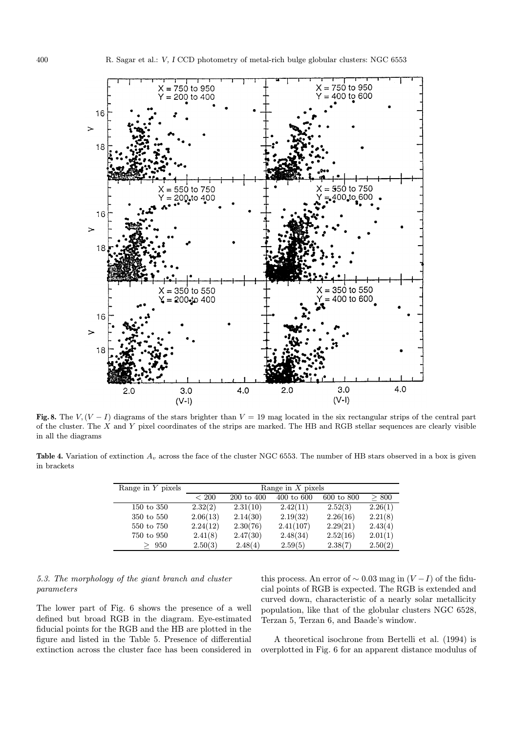

Fig. 8. The  $V, (V - I)$  diagrams of the stars brighter than  $V = 19$  mag located in the six rectangular strips of the central part of the cluster. The X and Y pixel coordinates of the strips are marked. The HB and RGB stellar sequences are clearly visible in all the diagrams

**Table 4.** Variation of extinction  $A_v$  across the face of the cluster NGC 6553. The number of HB stars observed in a box is given in brackets

| Range in $Y$ pixels | Range in $X$ pixels |            |            |            |         |  |
|---------------------|---------------------|------------|------------|------------|---------|--|
|                     | < 200               | 200 to 400 | 400 to 600 | 600 to 800 | > 800   |  |
| 150 to 350          | 2.32(2)             | 2.31(10)   | 2.42(11)   | 2.52(3)    | 2.26(1) |  |
| 350 to 550          | 2.06(13)            | 2.14(30)   | 2.19(32)   | 2.26(16)   | 2.21(8) |  |
| 550 to 750          | 2.24(12)            | 2.30(76)   | 2.41(107)  | 2.29(21)   | 2.43(4) |  |
| 750 to 950          | 2.41(8)             | 2.47(30)   | 2.48(34)   | 2.52(16)   | 2.01(1) |  |
| 950                 | 2.50(3)             | 2.48(4)    | 2.59(5)    | 2.38(7)    | 2.50(2) |  |

# 5.3. The morphology of the giant branch and cluster parameters

The lower part of Fig. 6 shows the presence of a well defined but broad RGB in the diagram. Eye-estimated fiducial points for the RGB and the HB are plotted in the figure and listed in the Table 5. Presence of differential extinction across the cluster face has been considered in this process. An error of  $\sim 0.03$  mag in  $(V-I)$  of the fiducial points of RGB is expected. The RGB is extended and curved down, characteristic of a nearly solar metallicity population, like that of the globular clusters NGC 6528, Terzan 5, Terzan 6, and Baade's window.

A theoretical isochrone from Bertelli et al. (1994) is overplotted in Fig. 6 for an apparent distance modulus of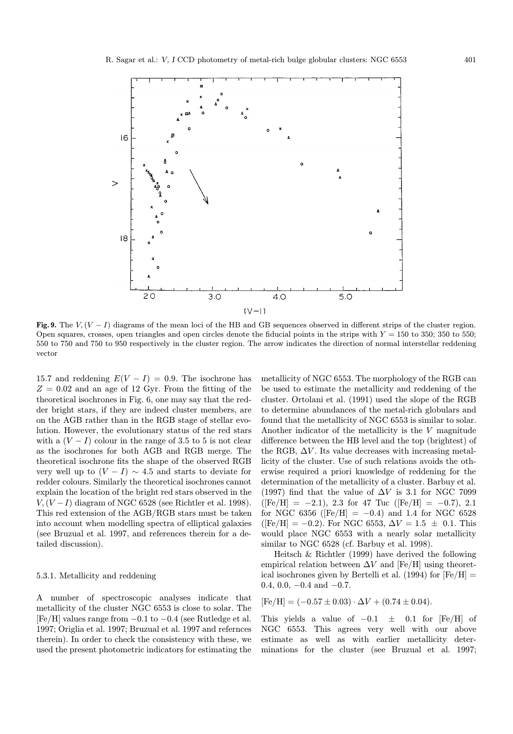

Fig. 9. The  $V, (V - I)$  diagrams of the mean loci of the HB and GB sequences observed in different strips of the cluster region. Open squares, crosses, open triangles and open circles denote the fiducial points in the strips with  $Y = 150$  to 350; 350 to 550; 550 to 750 and 750 to 950 respectively in the cluster region. The arrow indicates the direction of normal interstellar reddening vector

15.7 and reddening  $E(V - I) = 0.9$ . The isochrone has  $Z = 0.02$  and an age of 12 Gyr. From the fitting of the theoretical isochrones in Fig. 6, one may say that the redder bright stars, if they are indeed cluster members, are on the AGB rather than in the RGB stage of stellar evolution. However, the evolutionary status of the red stars with a  $(V-I)$  colour in the range of 3.5 to 5 is not clear as the isochrones for both AGB and RGB merge. The theoretical isochrone fits the shape of the observed RGB very well up to  $(V - I) \sim 4.5$  and starts to deviate for redder colours. Similarly the theoretical isochrones cannot explain the location of the bright red stars observed in the  $V,(V-I)$  diagram of NGC 6528 (see Richtler et al. 1998). This red extension of the AGB/RGB stars must be taken into account when modelling spectra of elliptical galaxies (see Bruzual et al. 1997, and references therein for a detailed discussion).

# 5.3.1. Metallicity and reddening

A number of spectroscopic analyses indicate that metallicity of the cluster NGC 6553 is close to solar. The  $[Fe/H]$  values range from  $-0.1$  to  $-0.4$  (see Rutledge et al. 1997; Origlia et al. 1997; Bruzual et al. 1997 and refernces therein). In order to check the consistency with these, we used the present photometric indicators for estimating the

metallicity of NGC 6553. The morphology of the RGB can be used to estimate the metallicity and reddening of the cluster. Ortolani et al. (1991) used the slope of the RGB to determine abundances of the metal-rich globulars and found that the metallicity of NGC 6553 is similar to solar. Another indicator of the metallicity is the V magnitude difference between the HB level and the top (brightest) of the RGB,  $\Delta V$ . Its value decreases with increasing metallicity of the cluster. Use of such relations avoids the otherwise required a priori knowledge of reddening for the determination of the metallicity of a cluster. Barbuy et al. (1997) find that the value of  $\Delta V$  is 3.1 for NGC 7099  $([Fe/H] = -2.1)$ , 2.3 for 47 Tuc  $([Fe/H] = -0.7)$ , 2.1 for NGC 6356 ( $[Fe/H] = -0.4$ ) and 1.4 for NGC 6528  $(Fe/H] = -0.2$ ). For NGC 6553,  $\Delta V = 1.5 \pm 0.1$ . This would place NGC 6553 with a nearly solar metallicity similar to NGC 6528 (cf. Barbuy et al. 1998).

Heitsch & Richtler (1999) have derived the following empirical relation between  $\Delta V$  and [Fe/H] using theoretical isochrones given by Bertelli et al. (1994) for  $[Fe/H] =$ 0.4, 0.0,  $-0.4$  and  $-0.7$ .

$$
[Fe/H] = (-0.57 \pm 0.03) \cdot \Delta V + (0.74 \pm 0.04).
$$

This yields a value of  $-0.1 \pm 0.1$  for [Fe/H] of NGC 6553. This agrees very well with our above estimate as well as with earlier metallicity determinations for the cluster (see Bruzual et al. 1997;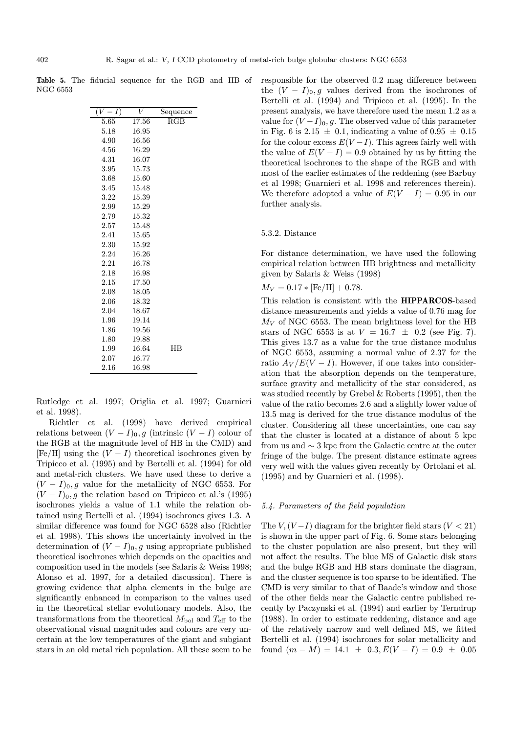Table 5. The fiducial sequence for the RGB and HB of NGC 6553

| (V<br>I) | V     | $\bar{\text{Sequence}}$ |  |
|----------|-------|-------------------------|--|
| 5.65     | 17.56 | RGB                     |  |
| 5.18     | 16.95 |                         |  |
| 4.90     | 16.56 |                         |  |
| 4.56     | 16.29 |                         |  |
| 4.31     | 16.07 |                         |  |
| 3.95     | 15.73 |                         |  |
| 3.68     | 15.60 |                         |  |
| 3.45     | 15.48 |                         |  |
| 3.22     | 15.39 |                         |  |
| 2.99     | 15.29 |                         |  |
| 2.79     | 15.32 |                         |  |
| 2.57     | 15.48 |                         |  |
| 2.41     | 15.65 |                         |  |
| 2.30     | 15.92 |                         |  |
| 2.24     | 16.26 |                         |  |
| 2.21     | 16.78 |                         |  |
| 2.18     | 16.98 |                         |  |
| 2.15     | 17.50 |                         |  |
| 2.08     | 18.05 |                         |  |
| 2.06     | 18.32 |                         |  |
| 2.04     | 18.67 |                         |  |
| 1.96     | 19.14 |                         |  |
| 1.86     | 19.56 |                         |  |
| 1.80     | 19.88 |                         |  |
| 1.99     | 16.64 | HB                      |  |
| 2.07     | 16.77 |                         |  |
| 2.16     | 16.98 |                         |  |

Rutledge et al. 1997; Origlia et al. 1997; Guarnieri et al. 1998).

Richtler et al. (1998) have derived empirical relations between  $(V - I)_0$ , g (intrinsic  $(V - I)$  colour of the RGB at the magnitude level of HB in the CMD) and  $[Fe/H]$  using the  $(V - I)$  theoretical isochrones given by Tripicco et al. (1995) and by Bertelli et al. (1994) for old and metal-rich clusters. We have used these to derive a  $(V - I)_0$ , g value for the metallicity of NGC 6553. For  $(V - I)_0$ , g the relation based on Tripicco et al.'s (1995) isochrones yields a value of 1.1 while the relation obtained using Bertelli et al. (1994) isochrones gives 1.3. A similar difference was found for NGC 6528 also (Richtler et al. 1998). This shows the uncertainty involved in the determination of  $(V - I)_0$ , g using appropriate published theoretical isochrones which depends on the opacities and composition used in the models (see Salaris & Weiss 1998; Alonso et al. 1997, for a detailed discussion). There is growing evidence that alpha elements in the bulge are significantly enhanced in comparison to the values used in the theoretical stellar evolutionary models. Also, the transformations from the theoretical  $M_{\text{bol}}$  and  $T_{\text{eff}}$  to the observational visual magnitudes and colours are very uncertain at the low temperatures of the giant and subgiant stars in an old metal rich population. All these seem to be

responsible for the observed 0.2 mag difference between the  $(V - I)_0$ , g values derived from the isochrones of Bertelli et al. (1994) and Tripicco et al. (1995). In the present analysis, we have therefore used the mean 1.2 as a value for  $(V-I)_0$ , g. The observed value of this parameter in Fig. 6 is 2.15  $\pm$  0.1, indicating a value of 0.95  $\pm$  0.15 for the colour excess  $E(V-I)$ . This agrees fairly well with the value of  $E(V - I) = 0.9$  obtained by us by fitting the theoretical isochrones to the shape of the RGB and with most of the earlier estimates of the reddening (see Barbuy et al 1998; Guarnieri et al. 1998 and references therein). We therefore adopted a value of  $E(V - I) = 0.95$  in our further analysis.

# 5.3.2. Distance

For distance determination, we have used the following empirical relation between HB brightness and metallicity given by Salaris & Weiss (1998)

 $M_V = 0.17 * [Fe/H] + 0.78.$ 

This relation is consistent with the HIPPARCOS-based distance measurements and yields a value of 0.76 mag for  $M_V$  of NGC 6553. The mean brightness level for the HB stars of NGC 6553 is at  $V = 16.7 \pm 0.2$  (see Fig. 7). This gives 13.7 as a value for the true distance modulus of NGC 6553, assuming a normal value of 2.37 for the ratio  $A_V/E(V - I)$ . However, if one takes into consideration that the absorption depends on the temperature, surface gravity and metallicity of the star considered, as was studied recently by Grebel & Roberts (1995), then the value of the ratio becomes 2.6 and a slightly lower value of 13.5 mag is derived for the true distance modulus of the cluster. Considering all these uncertainties, one can say that the cluster is located at a distance of about 5 kpc from us and ∼ 3 kpc from the Galactic centre at the outer fringe of the bulge. The present distance estimate agrees very well with the values given recently by Ortolani et al. (1995) and by Guarnieri et al. (1998).

### 5.4. Parameters of the field population

The  $V,(V-I)$  diagram for the brighter field stars  $(V < 21)$ is shown in the upper part of Fig. 6. Some stars belonging to the cluster population are also present, but they will not affect the results. The blue MS of Galactic disk stars and the bulge RGB and HB stars dominate the diagram, and the cluster sequence is too sparse to be identified. The CMD is very similar to that of Baade's window and those of the other fields near the Galactic centre published recently by Paczynski et al. (1994) and earlier by Terndrup (1988). In order to estimate reddening, distance and age of the relatively narrow and well defined MS, we fitted Bertelli et al. (1994) isochrones for solar metallicity and found  $(m - M) = 14.1 \pm 0.3, E(V - I) = 0.9 \pm 0.05$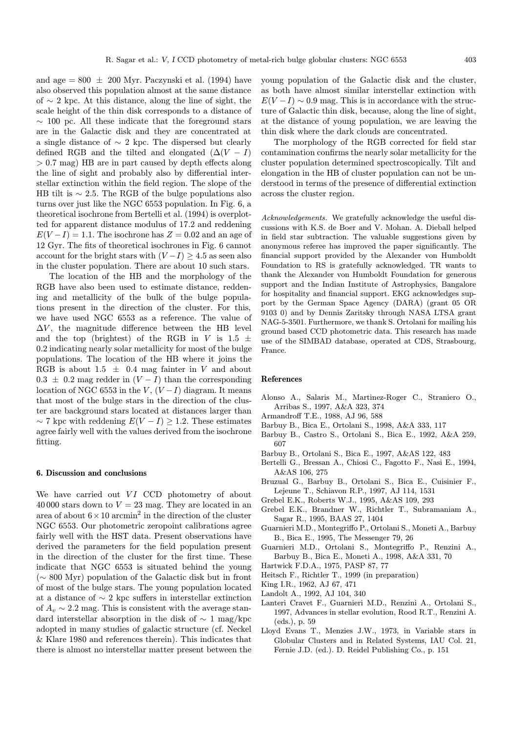and age  $= 800 \pm 200$  Myr. Paczynski et al. (1994) have also observed this population almost at the same distance of ∼ 2 kpc. At this distance, along the line of sight, the scale height of the thin disk corresponds to a distance of  $\sim$  100 pc. All these indicate that the foreground stars are in the Galactic disk and they are concentrated at a single distance of  $\sim$  2 kpc. The dispersed but clearly defined RGB and the tilted and elongated  $(∆(V - I))$ > 0.7 mag) HB are in part caused by depth effects along the line of sight and probably also by differential interstellar extinction within the field region. The slope of the HB tilt is  $\sim$  2.5. The RGB of the bulge populations also turns over just like the NGC 6553 population. In Fig. 6, a theoretical isochrone from Bertelli et al. (1994) is overplotted for apparent distance modulus of 17.2 and reddening  $E(V-I) = 1.1$ . The isochrone has  $Z = 0.02$  and an age of 12 Gyr. The fits of theoretical isochrones in Fig. 6 cannot

in the cluster population. There are about 10 such stars. The location of the HB and the morphology of the RGB have also been used to estimate distance, reddening and metallicity of the bulk of the bulge populations present in the direction of the cluster. For this, we have used NGC 6553 as a reference. The value of  $\Delta V$ , the magnitude difference between the HB level and the top (brightest) of the RGB in V is 1.5  $\pm$ 0.2 indicating nearly solar metallicity for most of the bulge populations. The location of the HB where it joins the RGB is about 1.5  $\pm$  0.4 mag fainter in V and about  $0.3 \pm 0.2$  mag redder in  $(V-I)$  than the corresponding location of NGC 6553 in the V,  $(V-I)$  diagram. It means that most of the bulge stars in the direction of the cluster are background stars located at distances larger than  $\sim$  7 kpc with reddening  $E(V - I) \geq 1.2$ . These estimates agree fairly well with the values derived from the isochrone fitting.

account for the bright stars with  $(V-I) \geq 4.5$  as seen also

# 6. Discussion and conclusions

We have carried out  $VI$  CCD photometry of about 40 000 stars down to  $V = 23$  mag. They are located in an area of about  $6 \times 10$  arcmin<sup>2</sup> in the direction of the cluster NGC 6553. Our photometric zeropoint calibrations agree fairly well with the HST data. Present observations have derived the parameters for the field population present in the direction of the cluster for the first time. These indicate that NGC 6553 is situated behind the young (∼ 800 Myr) population of the Galactic disk but in front of most of the bulge stars. The young population located at a distance of ∼ 2 kpc suffers in interstellar extinction of  $A_v \sim 2.2$  mag. This is consistent with the average standard interstellar absorption in the disk of  $\sim 1$  mag/kpc adopted in many studies of galactic structure (cf. Neckel & Klare 1980 and references therein). This indicates that there is almost no interstellar matter present between the

young population of the Galactic disk and the cluster, as both have almost similar interstellar extinction with  $E(V-I) \sim 0.9$  mag. This is in accordance with the structure of Galactic thin disk, because, along the line of sight, at the distance of young population, we are leaving the thin disk where the dark clouds are concentrated.

The morphology of the RGB corrected for field star contamination confirms the nearly solar metallicity for the cluster population determined spectroscopically. Tilt and elongation in the HB of cluster population can not be understood in terms of the presence of differential extinction across the cluster region.

Acknowledgements. We gratefully acknowledge the useful discussions with K.S. de Boer and V. Mohan. A. Dieball helped in field star subtraction. The valuable suggestions given by anonymous referee has improved the paper significantly. The financial support provided by the Alexander von Humboldt Foundation to RS is gratefully acknowledged. TR wants to thank the Alexander von Humboldt Foundation for generous support and the Indian Institute of Astrophysics, Bangalore for hospitality and financial support. EKG acknowledges support by the German Space Agency (DARA) (grant 05 OR 9103 0) and by Dennis Zaritsky through NASA LTSA grant NAG-5-3501. Furthermore, we thank S. Ortolani for mailing his ground based CCD photometric data. This research has made use of the SIMBAD database, operated at CDS, Strasbourg, France.

### References

- Alonso A., Salaris M., Martinez-Roger C., Straniero O., Arribas S., 1997, A&A 323, 374
- Armandroff T.E., 1988, AJ 96, 588
- Barbuy B., Bica E., Ortolani S., 1998, A&A 333, 117
- Barbuy B., Castro S., Ortolani S., Bica E., 1992, A&A 259, 607
- Barbuy B., Ortolani S., Bica E., 1997, A&AS 122, 483
- Bertelli G., Bressan A., Chiosi C., Fagotto F., Nasi E., 1994, A&AS 106, 275
- Bruzual G., Barbuy B., Ortolani S., Bica E., Cuisinier F., Lejeune T., Schiavon R.P., 1997, AJ 114, 1531
- Grebel E.K., Roberts W.J., 1995, A&AS 109, 293
- Grebel E.K., Brandner W., Richtler T., Subramaniam A., Sagar R., 1995, BAAS 27, 1404
- Guarnieri M.D., Montegriffo P., Ortolani S., Moneti A., Barbuy B., Bica E., 1995, The Messenger 79, 26
- Guarnieri M.D., Ortolani S., Montegriffo P., Renzini A., Barbuy B., Bica E., Moneti A., 1998, A&A 331, 70
- Hartwick F.D.A., 1975, PASP 87, 77
- Heitsch F., Richtler T., 1999 (in preparation)
- King I.R., 1962, AJ 67, 471
- Landolt A., 1992, AJ 104, 340
- Lanteri Cravet F., Guarnieri M.D., Renzini A., Ortolani S., 1997, Advances in stellar evolution, Rood R.T., Renzini A. (eds.), p. 59
- Lloyd Evans T., Menzies J.W., 1973, in Variable stars in Globular Clusters and in Related Systems, IAU Col. 21, Fernie J.D. (ed.). D. Reidel Publishing Co., p. 151